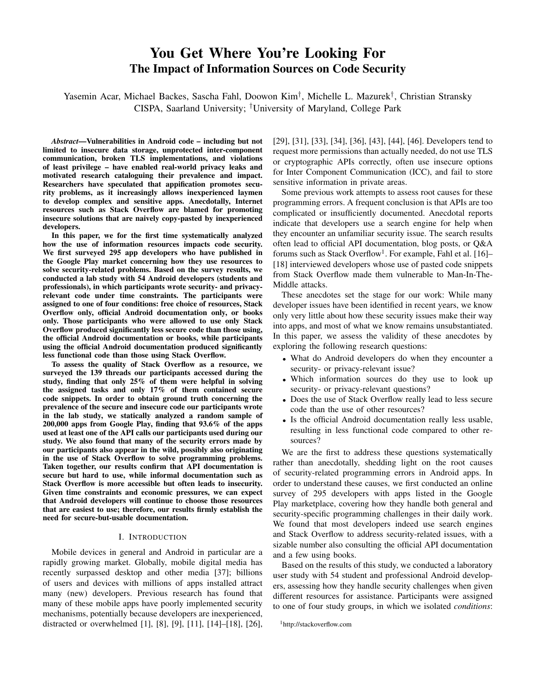# You Get Where You're Looking For The Impact of Information Sources on Code Security

Yasemin Acar, Michael Backes, Sascha Fahl, Doowon Kim<sup>†</sup>, Michelle L. Mazurek<sup>†</sup>, Christian Stransky CISPA, Saarland University; †University of Maryland, College Park

*Abstract*—Vulnerabilities in Android code – including but not limited to insecure data storage, unprotected inter-component communication, broken TLS implementations, and violations of least privilege – have enabled real-world privacy leaks and motivated research cataloguing their prevalence and impact. Researchers have speculated that appification promotes security problems, as it increasingly allows inexperienced laymen to develop complex and sensitive apps. Anecdotally, Internet resources such as Stack Overflow are blamed for promoting insecure solutions that are naively copy-pasted by inexperienced developers.

In this paper, we for the first time systematically analyzed how the use of information resources impacts code security. We first surveyed 295 app developers who have published in the Google Play market concerning how they use resources to solve security-related problems. Based on the survey results, we conducted a lab study with 54 Android developers (students and professionals), in which participants wrote security- and privacyrelevant code under time constraints. The participants were assigned to one of four conditions: free choice of resources, Stack Overflow only, official Android documentation only, or books only. Those participants who were allowed to use only Stack Overflow produced significantly less secure code than those using, the official Android documentation or books, while participants using the official Android documentation produced significantly less functional code than those using Stack Overflow.

To assess the quality of Stack Overflow as a resource, we surveyed the 139 threads our participants accessed during the study, finding that only 25% of them were helpful in solving the assigned tasks and only 17% of them contained secure code snippets. In order to obtain ground truth concerning the prevalence of the secure and insecure code our participants wrote in the lab study, we statically analyzed a random sample of 200,000 apps from Google Play, finding that 93.6% of the apps used at least one of the API calls our participants used during our study. We also found that many of the security errors made by our participants also appear in the wild, possibly also originating in the use of Stack Overflow to solve programming problems. Taken together, our results confirm that API documentation is secure but hard to use, while informal documentation such as Stack Overflow is more accessible but often leads to insecurity. Given time constraints and economic pressures, we can expect that Android developers will continue to choose those resources that are easiest to use; therefore, our results firmly establish the need for secure-but-usable documentation.

### I. INTRODUCTION

Mobile devices in general and Android in particular are a rapidly growing market. Globally, mobile digital media has recently surpassed desktop and other media [\[37\]](#page-15-0); billions of users and devices with millions of apps installed attract many (new) developers. Previous research has found that many of these mobile apps have poorly implemented security mechanisms, potentially because developers are inexperienced, distracted or overwhelmed [\[1\]](#page-14-0), [\[8\]](#page-15-1), [\[9\]](#page-15-2), [\[11\]](#page-15-3), [\[14\]](#page-15-4)–[\[18\]](#page-15-5), [\[26\]](#page-15-6),

[\[29\]](#page-15-7), [\[31\]](#page-15-8), [\[33\]](#page-15-9), [\[34\]](#page-15-10), [\[36\]](#page-15-11), [\[43\]](#page-15-12), [\[44\]](#page-15-13), [\[46\]](#page-16-0). Developers tend to request more permissions than actually needed, do not use TLS or cryptographic APIs correctly, often use insecure options for Inter Component Communication (ICC), and fail to store sensitive information in private areas.

Some previous work attempts to assess root causes for these programming errors. A frequent conclusion is that APIs are too complicated or insufficiently documented. Anecdotal reports indicate that developers use a search engine for help when they encounter an unfamiliar security issue. The search results often lead to official API documentation, blog posts, or Q&A forums such as Stack Overflow<sup>[1](#page-0-0)</sup>. For example, Fahl et al. [\[16\]](#page-15-14)– [\[18\]](#page-15-5) interviewed developers whose use of pasted code snippets from Stack Overflow made them vulnerable to Man-In-The-Middle attacks.

These anecdotes set the stage for our work: While many developer issues have been identified in recent years, we know only very little about how these security issues make their way into apps, and most of what we know remains unsubstantiated. In this paper, we assess the validity of these anecdotes by exploring the following research questions:

- What do Android developers do when they encounter a security- or privacy-relevant issue?
- Which information sources do they use to look up security- or privacy-relevant questions?
- Does the use of Stack Overflow really lead to less secure code than the use of other resources?
- Is the official Android documentation really less usable, resulting in less functional code compared to other resources?

We are the first to address these questions systematically rather than anecdotally, shedding light on the root causes of security-related programming errors in Android apps. In order to understand these causes, we first conducted an online survey of 295 developers with apps listed in the Google Play marketplace, covering how they handle both general and security-specific programming challenges in their daily work. We found that most developers indeed use search engines and Stack Overflow to address security-related issues, with a sizable number also consulting the official API documentation and a few using books.

Based on the results of this study, we conducted a laboratory user study with 54 student and professional Android developers, assessing how they handle security challenges when given different resources for assistance. Participants were assigned to one of four study groups, in which we isolated *conditions*:

<span id="page-0-0"></span><sup>1</sup>http://stackoverflow.com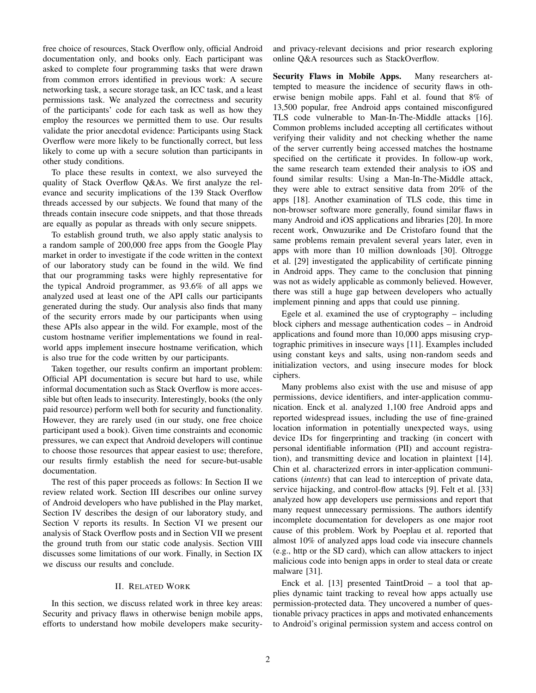free choice of resources, Stack Overflow only, official Android documentation only, and books only. Each participant was asked to complete four programming tasks that were drawn from common errors identified in previous work: A secure networking task, a secure storage task, an ICC task, and a least permissions task. We analyzed the correctness and security of the participants' code for each task as well as how they employ the resources we permitted them to use. Our results validate the prior anecdotal evidence: Participants using Stack Overflow were more likely to be functionally correct, but less likely to come up with a secure solution than participants in other study conditions.

To place these results in context, we also surveyed the quality of Stack Overflow Q&As. We first analyze the relevance and security implications of the 139 Stack Overflow threads accessed by our subjects. We found that many of the threads contain insecure code snippets, and that those threads are equally as popular as threads with only secure snippets.

To establish ground truth, we also apply static analysis to a random sample of 200,000 free apps from the Google Play market in order to investigate if the code written in the context of our laboratory study can be found in the wild. We find that our programming tasks were highly representative for the typical Android programmer, as 93.6% of all apps we analyzed used at least one of the API calls our participants generated during the study. Our analysis also finds that many of the security errors made by our participants when using these APIs also appear in the wild. For example, most of the custom hostname verifier implementations we found in realworld apps implement insecure hostname verification, which is also true for the code written by our participants.

Taken together, our results confirm an important problem: Official API documentation is secure but hard to use, while informal documentation such as Stack Overflow is more accessible but often leads to insecurity. Interestingly, books (the only paid resource) perform well both for security and functionality. However, they are rarely used (in our study, one free choice participant used a book). Given time constraints and economic pressures, we can expect that Android developers will continue to choose those resources that appear easiest to use; therefore, our results firmly establish the need for secure-but-usable documentation.

The rest of this paper proceeds as follows: In Section [II](#page-1-0) we review related work. Section [III](#page-2-0) describes our online survey of Android developers who have published in the Play market, Section [IV](#page-4-0) describes the design of our laboratory study, and Section [V](#page-6-0) reports its results. In Section [VI](#page-11-0) we present our analysis of Stack Overflow posts and in Section [VII](#page-11-1) we present the ground truth from our static code analysis. Section [VIII](#page-13-0) discusses some limitations of our work. Finally, in Section [IX](#page-14-1) we discuss our results and conclude.

## II. RELATED WORK

<span id="page-1-0"></span>In this section, we discuss related work in three key areas: Security and privacy flaws in otherwise benign mobile apps, efforts to understand how mobile developers make securityand privacy-relevant decisions and prior research exploring online Q&A resources such as StackOverflow.

Security Flaws in Mobile Apps. Many researchers attempted to measure the incidence of security flaws in otherwise benign mobile apps. Fahl et al. found that 8% of 13,500 popular, free Android apps contained misconfigured TLS code vulnerable to Man-In-The-Middle attacks [\[16\]](#page-15-14). Common problems included accepting all certificates without verifying their validity and not checking whether the name of the server currently being accessed matches the hostname specified on the certificate it provides. In follow-up work, the same research team extended their analysis to iOS and found similar results: Using a Man-In-The-Middle attack, they were able to extract sensitive data from 20% of the apps [\[18\]](#page-15-5). Another examination of TLS code, this time in non-browser software more generally, found similar flaws in many Android and iOS applications and libraries [\[20\]](#page-15-15). In more recent work, Onwuzurike and De Cristofaro found that the same problems remain prevalent several years later, even in apps with more than 10 million downloads [\[30\]](#page-15-16). Oltrogge et al. [\[29\]](#page-15-7) investigated the applicability of certificate pinning in Android apps. They came to the conclusion that pinning was not as widely applicable as commonly believed. However, there was still a huge gap between developers who actually implement pinning and apps that could use pinning.

Egele et al. examined the use of cryptography – including block ciphers and message authentication codes – in Android applications and found more than 10,000 apps misusing cryptographic primitives in insecure ways [\[11\]](#page-15-3). Examples included using constant keys and salts, using non-random seeds and initialization vectors, and using insecure modes for block ciphers.

Many problems also exist with the use and misuse of app permissions, device identifiers, and inter-application communication. Enck et al. analyzed 1,100 free Android apps and reported widespread issues, including the use of fine-grained location information in potentially unexpected ways, using device IDs for fingerprinting and tracking (in concert with personal identifiable information (PII) and account registration), and transmitting device and location in plaintext [\[14\]](#page-15-4). Chin et al. characterized errors in inter-application communications (*intents*) that can lead to interception of private data, service hijacking, and control-flow attacks [\[9\]](#page-15-2). Felt et al. [\[33\]](#page-15-9) analyzed how app developers use permissions and report that many request unnecessary permissions. The authors identify incomplete documentation for developers as one major root cause of this problem. Work by Poeplau et al. reported that almost 10% of analyzed apps load code via insecure channels (e.g., http or the SD card), which can allow attackers to inject malicious code into benign apps in order to steal data or create malware [\[31\]](#page-15-8).

Enck et al. [\[13\]](#page-15-17) presented TaintDroid – a tool that applies dynamic taint tracking to reveal how apps actually use permission-protected data. They uncovered a number of questionable privacy practices in apps and motivated enhancements to Android's original permission system and access control on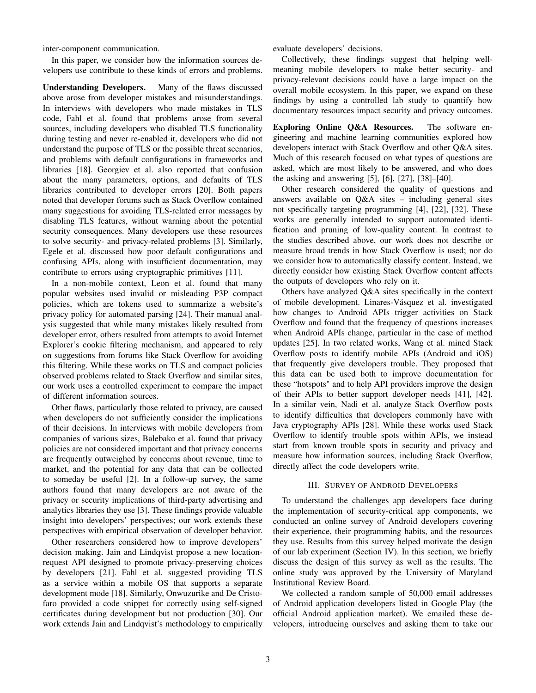inter-component communication.

In this paper, we consider how the information sources developers use contribute to these kinds of errors and problems.

Understanding Developers. Many of the flaws discussed above arose from developer mistakes and misunderstandings. In interviews with developers who made mistakes in TLS code, Fahl et al. found that problems arose from several sources, including developers who disabled TLS functionality during testing and never re-enabled it, developers who did not understand the purpose of TLS or the possible threat scenarios, and problems with default configurations in frameworks and libraries [\[18\]](#page-15-5). Georgiev et al. also reported that confusion about the many parameters, options, and defaults of TLS libraries contributed to developer errors [\[20\]](#page-15-15). Both papers noted that developer forums such as Stack Overflow contained many suggestions for avoiding TLS-related error messages by disabling TLS features, without warning about the potential security consequences. Many developers use these resources to solve security- and privacy-related problems [\[3\]](#page-15-18). Similarly, Egele et al. discussed how poor default configurations and confusing APIs, along with insufficient documentation, may contribute to errors using cryptographic primitives [\[11\]](#page-15-3).

In a non-mobile context, Leon et al. found that many popular websites used invalid or misleading P3P compact policies, which are tokens used to summarize a website's privacy policy for automated parsing [\[24\]](#page-15-19). Their manual analysis suggested that while many mistakes likely resulted from developer error, others resulted from attempts to avoid Internet Explorer's cookie filtering mechanism, and appeared to rely on suggestions from forums like Stack Overflow for avoiding this filtering. While these works on TLS and compact policies observed problems related to Stack Overflow and similar sites, our work uses a controlled experiment to compare the impact of different information sources.

Other flaws, particularly those related to privacy, are caused when developers do not sufficiently consider the implications of their decisions. In interviews with mobile developers from companies of various sizes, Balebako et al. found that privacy policies are not considered important and that privacy concerns are frequently outweighed by concerns about revenue, time to market, and the potential for any data that can be collected to someday be useful [\[2\]](#page-15-20). In a follow-up survey, the same authors found that many developers are not aware of the privacy or security implications of third-party advertising and analytics libraries they use [\[3\]](#page-15-18). These findings provide valuable insight into developers' perspectives; our work extends these perspectives with empirical observation of developer behavior.

Other researchers considered how to improve developers' decision making. Jain and Lindqvist propose a new locationrequest API designed to promote privacy-preserving choices by developers [\[21\]](#page-15-21). Fahl et al. suggested providing TLS as a service within a mobile OS that supports a separate development mode [\[18\]](#page-15-5). Similarly, Onwuzurike and De Cristofaro provided a code snippet for correctly using self-signed certificates during development but not production [\[30\]](#page-15-16). Our work extends Jain and Lindqvist's methodology to empirically evaluate developers' decisions.

Collectively, these findings suggest that helping wellmeaning mobile developers to make better security- and privacy-relevant decisions could have a large impact on the overall mobile ecosystem. In this paper, we expand on these findings by using a controlled lab study to quantify how documentary resources impact security and privacy outcomes.

Exploring Online Q&A Resources. The software engineering and machine learning communities explored how developers interact with Stack Overflow and other Q&A sites. Much of this research focused on what types of questions are asked, which are most likely to be answered, and who does the asking and answering [\[5\]](#page-15-22), [\[6\]](#page-15-23), [\[27\]](#page-15-24), [\[38\]](#page-15-25)–[\[40\]](#page-15-26).

Other research considered the quality of questions and answers available on Q&A sites – including general sites not specifically targeting programming [\[4\]](#page-15-27), [\[22\]](#page-15-28), [\[32\]](#page-15-29). These works are generally intended to support automated identification and pruning of low-quality content. In contrast to the studies described above, our work does not describe or measure broad trends in how Stack Overflow is used; nor do we consider how to automatically classify content. Instead, we directly consider how existing Stack Overflow content affects the outputs of developers who rely on it.

Others have analyzed Q&A sites specifically in the context of mobile development. Linares-Vásquez et al. investigated how changes to Android APIs trigger activities on Stack Overflow and found that the frequency of questions increases when Android APIs change, particular in the case of method updates [\[25\]](#page-15-30). In two related works, Wang et al. mined Stack Overflow posts to identify mobile APIs (Android and iOS) that frequently give developers trouble. They proposed that this data can be used both to improve documentation for these "hotspots" and to help API providers improve the design of their APIs to better support developer needs [\[41\]](#page-15-31), [\[42\]](#page-15-32). In a similar vein, Nadi et al. analyze Stack Overflow posts to identify difficulties that developers commonly have with Java cryptography APIs [\[28\]](#page-15-33). While these works used Stack Overflow to identify trouble spots within APIs, we instead start from known trouble spots in security and privacy and measure how information sources, including Stack Overflow, directly affect the code developers write.

# III. SURVEY OF ANDROID DEVELOPERS

<span id="page-2-0"></span>To understand the challenges app developers face during the implementation of security-critical app components, we conducted an online survey of Android developers covering their experience, their programming habits, and the resources they use. Results from this survey helped motivate the design of our lab experiment (Section [IV\)](#page-4-0). In this section, we briefly discuss the design of this survey as well as the results. The online study was approved by the University of Maryland Institutional Review Board.

We collected a random sample of 50,000 email addresses of Android application developers listed in Google Play (the official Android application market). We emailed these developers, introducing ourselves and asking them to take our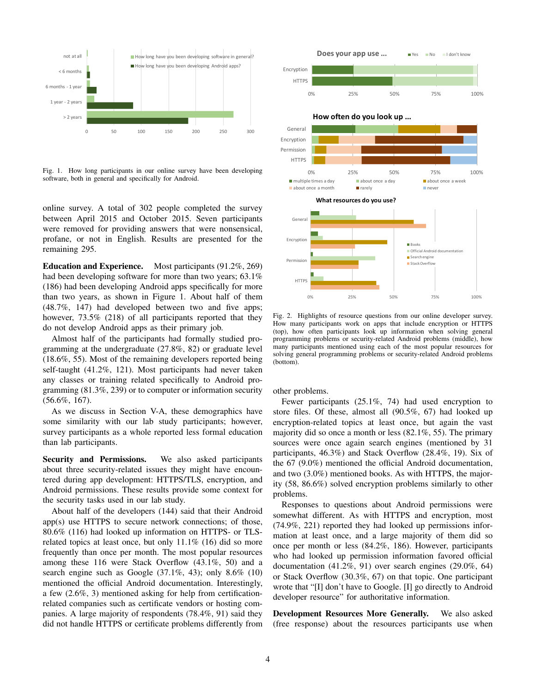

Fig. 1. How long participants in our online survey have been developing software, both in general and specifically for Android.

online survey. A total of 302 people completed the survey between April 2015 and October 2015. Seven participants were removed for providing answers that were nonsensical, profane, or not in English. Results are presented for the remaining 295.

Education and Experience. Most participants (91.2%, 269) had been developing software for more than two years; 63.1% (186) had been developing Android apps specifically for more than two years, as shown in Figure [1.](#page-3-0) About half of them (48.7%, 147) had developed between two and five apps; however, 73.5% (218) of all participants reported that they do not develop Android apps as their primary job.

Almost half of the participants had formally studied programming at the undergraduate (27.8%, 82) or graduate level (18.6%, 55). Most of the remaining developers reported being self-taught (41.2%, 121). Most participants had never taken any classes or training related specifically to Android programming (81.3%, 239) or to computer or information security (56.6%, 167).

As we discuss in Section [V-A,](#page-6-1) these demographics have some similarity with our lab study participants; however, survey participants as a whole reported less formal education than lab participants.

Security and Permissions. We also asked participants about three security-related issues they might have encountered during app development: HTTPS/TLS, encryption, and Android permissions. These results provide some context for the security tasks used in our lab study.

About half of the developers (144) said that their Android app(s) use HTTPS to secure network connections; of those, 80.6% (116) had looked up information on HTTPS- or TLSrelated topics at least once, but only 11.1% (16) did so more frequently than once per month. The most popular resources among these 116 were Stack Overflow (43.1%, 50) and a search engine such as Google (37.1%, 43); only 8.6% (10) mentioned the official Android documentation. Interestingly, a few (2.6%, 3) mentioned asking for help from certificationrelated companies such as certificate vendors or hosting companies. A large majority of respondents (78.4%, 91) said they did not handle HTTPS or certificate problems differently from

<span id="page-3-0"></span>

<span id="page-3-1"></span>Fig. 2. Highlights of resource questions from our online developer survey. How many participants work on apps that include encryption or HTTPS (top), how often participants look up information when solving general programming problems or security-related Android problems (middle), how many participants mentioned using each of the most popular resources for solving general programming problems or security-related Android problems (bottom).

other problems.

Fewer participants (25.1%, 74) had used encryption to store files. Of these, almost all (90.5%, 67) had looked up encryption-related topics at least once, but again the vast majority did so once a month or less (82.1%, 55). The primary sources were once again search engines (mentioned by 31 participants, 46.3%) and Stack Overflow (28.4%, 19). Six of the 67 (9.0%) mentioned the official Android documentation, and two (3.0%) mentioned books. As with HTTPS, the majority (58, 86.6%) solved encryption problems similarly to other problems.

Responses to questions about Android permissions were somewhat different. As with HTTPS and encryption, most (74.9%, 221) reported they had looked up permissions information at least once, and a large majority of them did so once per month or less (84.2%, 186). However, participants who had looked up permission information favored official documentation (41.2%, 91) over search engines (29.0%, 64) or Stack Overflow (30.3%, 67) on that topic. One participant wrote that "[I] don't have to Google. [I] go directly to Android developer resource" for authoritative information.

Development Resources More Generally. We also asked (free response) about the resources participants use when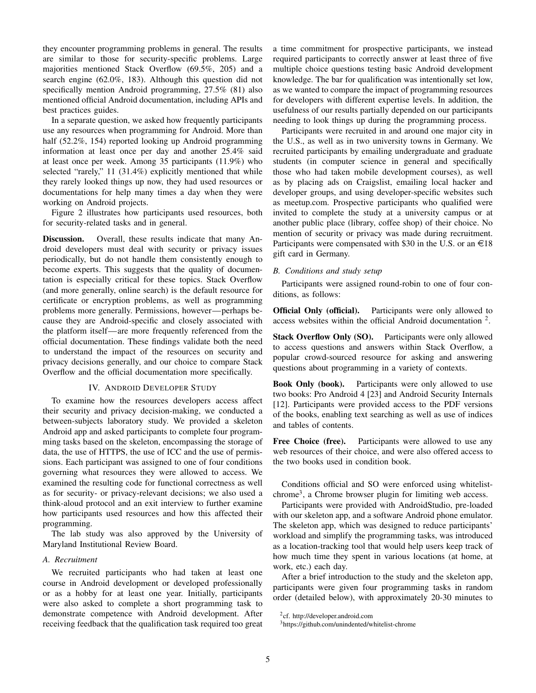they encounter programming problems in general. The results are similar to those for security-specific problems. Large majorities mentioned Stack Overflow (69.5%, 205) and a search engine (62.0%, 183). Although this question did not specifically mention Android programming, 27.5% (81) also mentioned official Android documentation, including APIs and best practices guides.

In a separate question, we asked how frequently participants use any resources when programming for Android. More than half (52.2%, 154) reported looking up Android programming information at least once per day and another 25.4% said at least once per week. Among 35 participants (11.9%) who selected "rarely," 11 (31.4%) explicitly mentioned that while they rarely looked things up now, they had used resources or documentations for help many times a day when they were working on Android projects.

Figure [2](#page-3-1) illustrates how participants used resources, both for security-related tasks and in general.

Discussion. Overall, these results indicate that many Android developers must deal with security or privacy issues periodically, but do not handle them consistently enough to become experts. This suggests that the quality of documentation is especially critical for these topics. Stack Overflow (and more generally, online search) is the default resource for certificate or encryption problems, as well as programming problems more generally. Permissions, however—perhaps because they are Android-specific and closely associated with the platform itself—are more frequently referenced from the official documentation. These findings validate both the need to understand the impact of the resources on security and privacy decisions generally, and our choice to compare Stack Overflow and the official documentation more specifically.

## IV. ANDROID DEVELOPER STUDY

<span id="page-4-0"></span>To examine how the resources developers access affect their security and privacy decision-making, we conducted a between-subjects laboratory study. We provided a skeleton Android app and asked participants to complete four programming tasks based on the skeleton, encompassing the storage of data, the use of HTTPS, the use of ICC and the use of permissions. Each participant was assigned to one of four conditions governing what resources they were allowed to access. We examined the resulting code for functional correctness as well as for security- or privacy-relevant decisions; we also used a think-aloud protocol and an exit interview to further examine how participants used resources and how this affected their programming.

The lab study was also approved by the University of Maryland Institutional Review Board.

# *A. Recruitment*

We recruited participants who had taken at least one course in Android development or developed professionally or as a hobby for at least one year. Initially, participants were also asked to complete a short programming task to demonstrate competence with Android development. After receiving feedback that the qualification task required too great

a time commitment for prospective participants, we instead required participants to correctly answer at least three of five multiple choice questions testing basic Android development knowledge. The bar for qualification was intentionally set low, as we wanted to compare the impact of programming resources for developers with different expertise levels. In addition, the usefulness of our results partially depended on our participants needing to look things up during the programming process.

Participants were recruited in and around one major city in the U.S., as well as in two university towns in Germany. We recruited participants by emailing undergraduate and graduate students (in computer science in general and specifically those who had taken mobile development courses), as well as by placing ads on Craigslist, emailing local hacker and developer groups, and using developer-specific websites such as meetup.com. Prospective participants who qualified were invited to complete the study at a university campus or at another public place (library, coffee shop) of their choice. No mention of security or privacy was made during recruitment. Participants were compensated with \$30 in the U.S. or an  $\in$ 18 gift card in Germany.

# *B. Conditions and study setup*

Participants were assigned round-robin to one of four conditions, as follows:

**Official Only (official).** Participants were only allowed to access websites within the official Android documentation <sup>[2](#page-4-1)</sup>.

Stack Overflow Only (SO). Participants were only allowed to access questions and answers within Stack Overflow, a popular crowd-sourced resource for asking and answering questions about programming in a variety of contexts.

Book Only (book). Participants were only allowed to use two books: Pro Android 4 [\[23\]](#page-15-34) and Android Security Internals [\[12\]](#page-15-35). Participants were provided access to the PDF versions of the books, enabling text searching as well as use of indices and tables of contents.

Free Choice (free). Participants were allowed to use any web resources of their choice, and were also offered access to the two books used in condition book.

Conditions official and SO were enforced using whitelist-chrome<sup>[3](#page-4-2)</sup>, a Chrome browser plugin for limiting web access.

Participants were provided with AndroidStudio, pre-loaded with our skeleton app, and a software Android phone emulator. The skeleton app, which was designed to reduce participants' workload and simplify the programming tasks, was introduced as a location-tracking tool that would help users keep track of how much time they spent in various locations (at home, at work, etc.) each day.

After a brief introduction to the study and the skeleton app, participants were given four programming tasks in random order (detailed below), with approximately 20-30 minutes to

<span id="page-4-1"></span><sup>2</sup> cf. <http://developer.android.com>

<span id="page-4-2"></span><sup>3</sup>https://github.com/unindented/whitelist-chrome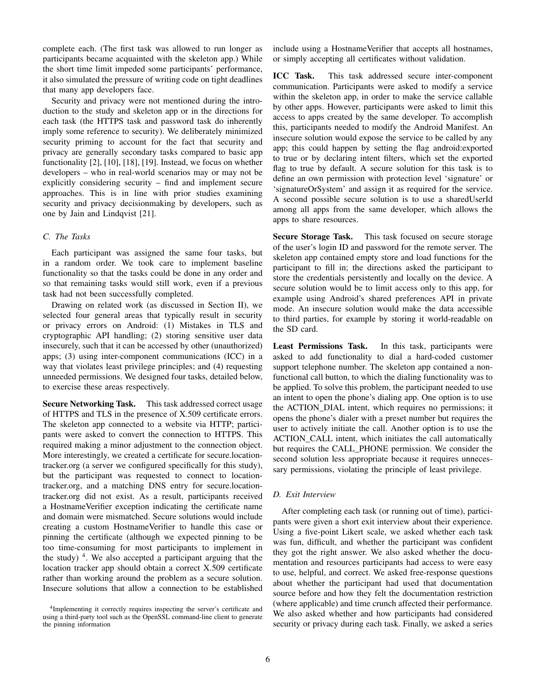complete each. (The first task was allowed to run longer as participants became acquainted with the skeleton app.) While the short time limit impeded some participants' performance, it also simulated the pressure of writing code on tight deadlines that many app developers face.

Security and privacy were not mentioned during the introduction to the study and skeleton app or in the directions for each task (the HTTPS task and password task do inherently imply some reference to security). We deliberately minimized security priming to account for the fact that security and privacy are generally secondary tasks compared to basic app functionality [\[2\]](#page-15-20), [\[10\]](#page-15-36), [\[18\]](#page-15-5), [\[19\]](#page-15-37). Instead, we focus on whether developers – who in real-world scenarios may or may not be explicitly considering security – find and implement secure approaches. This is in line with prior studies examining security and privacy decisionmaking by developers, such as one by Jain and Lindqvist [\[21\]](#page-15-21).

# <span id="page-5-1"></span>*C. The Tasks*

Each participant was assigned the same four tasks, but in a random order. We took care to implement baseline functionality so that the tasks could be done in any order and so that remaining tasks would still work, even if a previous task had not been successfully completed.

Drawing on related work (as discussed in Section [II\)](#page-1-0), we selected four general areas that typically result in security or privacy errors on Android: (1) Mistakes in TLS and cryptographic API handling; (2) storing sensitive user data insecurely, such that it can be accessed by other (unauthorized) apps; (3) using inter-component communications (ICC) in a way that violates least privilege principles; and (4) requesting unneeded permissions. We designed four tasks, detailed below, to exercise these areas respectively.

Secure Networking Task. This task addressed correct usage of HTTPS and TLS in the presence of X.509 certificate errors. The skeleton app connected to a website via HTTP; participants were asked to convert the connection to HTTPS. This required making a minor adjustment to the connection object. More interestingly, we created a certificate for secure.locationtracker.org (a server we configured specifically for this study), but the participant was requested to connect to locationtracker.org, and a matching DNS entry for secure.locationtracker.org did not exist. As a result, participants received a HostnameVerifier exception indicating the certificate name and domain were mismatched. Secure solutions would include creating a custom HostnameVerifier to handle this case or pinning the certificate (although we expected pinning to be too time-consuming for most participants to implement in the study)  $4$ . We also accepted a participant arguing that the location tracker app should obtain a correct X.509 certificate rather than working around the problem as a secure solution. Insecure solutions that allow a connection to be established include using a HostnameVerifier that accepts all hostnames, or simply accepting all certificates without validation.

ICC Task. This task addressed secure inter-component communication. Participants were asked to modify a service within the skeleton app, in order to make the service callable by other apps. However, participants were asked to limit this access to apps created by the same developer. To accomplish this, participants needed to modify the Android Manifest. An insecure solution would expose the service to be called by any app; this could happen by setting the flag android:exported to true or by declaring intent filters, which set the exported flag to true by default. A secure solution for this task is to define an own permission with protection level 'signature' or 'signatureOrSystem' and assign it as required for the service. A second possible secure solution is to use a sharedUserId among all apps from the same developer, which allows the apps to share resources.

Secure Storage Task. This task focused on secure storage of the user's login ID and password for the remote server. The skeleton app contained empty store and load functions for the participant to fill in; the directions asked the participant to store the credentials persistently and locally on the device. A secure solution would be to limit access only to this app, for example using Android's shared preferences API in private mode. An insecure solution would make the data accessible to third parties, for example by storing it world-readable on the SD card.

Least Permissions Task. In this task, participants were asked to add functionality to dial a hard-coded customer support telephone number. The skeleton app contained a nonfunctional call button, to which the dialing functionality was to be applied. To solve this problem, the participant needed to use an intent to open the phone's dialing app. One option is to use the ACTION\_DIAL intent, which requires no permissions; it opens the phone's dialer with a preset number but requires the user to actively initiate the call. Another option is to use the ACTION\_CALL intent, which initiates the call automatically but requires the CALL\_PHONE permission. We consider the second solution less appropriate because it requires unnecessary permissions, violating the principle of least privilege.

# *D. Exit Interview*

After completing each task (or running out of time), participants were given a short exit interview about their experience. Using a five-point Likert scale, we asked whether each task was fun, difficult, and whether the participant was confident they got the right answer. We also asked whether the documentation and resources participants had access to were easy to use, helpful, and correct. We asked free-response questions about whether the participant had used that documentation source before and how they felt the documentation restriction (where applicable) and time crunch affected their performance. We also asked whether and how participants had considered security or privacy during each task. Finally, we asked a series

<span id="page-5-0"></span><sup>&</sup>lt;sup>4</sup>Implementing it correctly requires inspecting the server's certificate and using a third-party tool such as the OpenSSL command-line client to generate the pinning information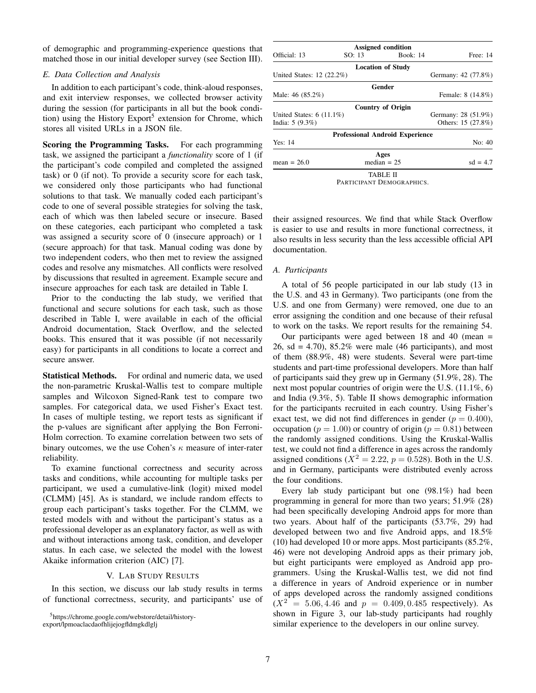of demographic and programming-experience questions that matched those in our initial developer survey (see Section [III\)](#page-2-0).

## <span id="page-6-4"></span>*E. Data Collection and Analysis*

In addition to each participant's code, think-aloud responses, and exit interview responses, we collected browser activity during the session (for participants in all but the book condi-tion) using the History Export<sup>[5](#page-6-2)</sup> extension for Chrome, which stores all visited URLs in a JSON file.

Scoring the Programming Tasks. For each programming task, we assigned the participant a *functionality* score of 1 (if the participant's code compiled and completed the assigned task) or 0 (if not). To provide a security score for each task, we considered only those participants who had functional solutions to that task. We manually coded each participant's code to one of several possible strategies for solving the task, each of which was then labeled secure or insecure. Based on these categories, each participant who completed a task was assigned a security score of 0 (insecure approach) or 1 (secure approach) for that task. Manual coding was done by two independent coders, who then met to review the assigned codes and resolve any mismatches. All conflicts were resolved by discussions that resulted in agreement. Example secure and insecure approaches for each task are detailed in Table [I.](#page-7-0)

Prior to the conducting the lab study, we verified that functional and secure solutions for each task, such as those described in Table [I,](#page-7-0) were available in each of the official Android documentation, Stack Overflow, and the selected books. This ensured that it was possible (if not necessarily easy) for participants in all conditions to locate a correct and secure answer.

Statistical Methods. For ordinal and numeric data, we used the non-parametric Kruskal-Wallis test to compare multiple samples and Wilcoxon Signed-Rank test to compare two samples. For categorical data, we used Fisher's Exact test. In cases of multiple testing, we report tests as significant if the p-values are significant after applying the Bon Ferroni-Holm correction. To examine correlation between two sets of binary outcomes, we the use Cohen's  $\kappa$  measure of inter-rater reliability.

To examine functional correctness and security across tasks and conditions, while accounting for multiple tasks per participant, we used a cumulative-link (logit) mixed model (CLMM) [\[45\]](#page-15-38). As is standard, we include random effects to group each participant's tasks together. For the CLMM, we tested models with and without the participant's status as a professional developer as an explanatory factor, as well as with and without interactions among task, condition, and developer status. In each case, we selected the model with the lowest Akaike information criterion (AIC) [\[7\]](#page-15-39).

## V. LAB STUDY RESULTS

<span id="page-6-0"></span>In this section, we discuss our lab study results in terms of functional correctness, security, and participants' use of

| SO: 13 | <b>Book: 14</b>                                         | Free: $14$                                                                                                                                                     |
|--------|---------------------------------------------------------|----------------------------------------------------------------------------------------------------------------------------------------------------------------|
|        |                                                         |                                                                                                                                                                |
|        |                                                         | Germany: 42 (77.8%)                                                                                                                                            |
|        |                                                         |                                                                                                                                                                |
|        |                                                         | Female: 8 (14.8%)                                                                                                                                              |
|        |                                                         |                                                                                                                                                                |
|        |                                                         | Germany: 28 (51.9%)                                                                                                                                            |
|        |                                                         | Others: 15 (27.8%)                                                                                                                                             |
|        |                                                         |                                                                                                                                                                |
|        |                                                         | No: 40                                                                                                                                                         |
|        |                                                         |                                                                                                                                                                |
|        |                                                         | $sd = 4.7$                                                                                                                                                     |
|        | United States: 12 (22.2%)<br>United States: $6(11.1\%)$ | <b>Assigned condition</b><br><b>Location of Study</b><br>Gender<br><b>Country of Origin</b><br><b>Professional Android Experience</b><br>Ages<br>median $= 25$ |

<span id="page-6-3"></span>TABLE II PARTICIPANT DEMOGRAPHICS.

their assigned resources. We find that while Stack Overflow is easier to use and results in more functional correctness, it also results in less security than the less accessible official API documentation.

## <span id="page-6-1"></span>*A. Participants*

A total of 56 people participated in our lab study (13 in the U.S. and 43 in Germany). Two participants (one from the U.S. and one from Germany) were removed, one due to an error assigning the condition and one because of their refusal to work on the tasks. We report results for the remaining 54.

Our participants were aged between 18 and 40 (mean = 26, sd = 4.70),  $85.2\%$  were male (46 participants), and most of them (88.9%, 48) were students. Several were part-time students and part-time professional developers. More than half of participants said they grew up in Germany (51.9%, 28). The next most popular countries of origin were the U.S. (11.1\%, 6) and India (9.3%, 5). Table [II](#page-6-3) shows demographic information for the participants recruited in each country. Using Fisher's exact test, we did not find differences in gender ( $p = 0.400$ ), occupation ( $p = 1.00$ ) or country of origin ( $p = 0.81$ ) between the randomly assigned conditions. Using the Kruskal-Wallis test, we could not find a difference in ages across the randomly assigned conditions ( $X^2 = 2.22$ ,  $p = 0.528$ ). Both in the U.S. and in Germany, participants were distributed evenly across the four conditions.

Every lab study participant but one (98.1%) had been programming in general for more than two years; 51.9% (28) had been specifically developing Android apps for more than two years. About half of the participants (53.7%, 29) had developed between two and five Android apps, and 18.5% (10) had developed 10 or more apps. Most participants (85.2%, 46) were not developing Android apps as their primary job, but eight participants were employed as Android app programmers. Using the Kruskal-Wallis test, we did not find a difference in years of Android experience or in number of apps developed across the randomly assigned conditions  $(X^2 = 5.06, 4.46 \text{ and } p = 0.409, 0.485 \text{ respectively.}$  As shown in Figure [3,](#page-8-0) our lab-study participants had roughly similar experience to the developers in our online survey.

<span id="page-6-2"></span><sup>5</sup>https://chrome.google.com/webstore/detail/history-

export/lpmoaclacdaofhlijejogfldmgkdlglj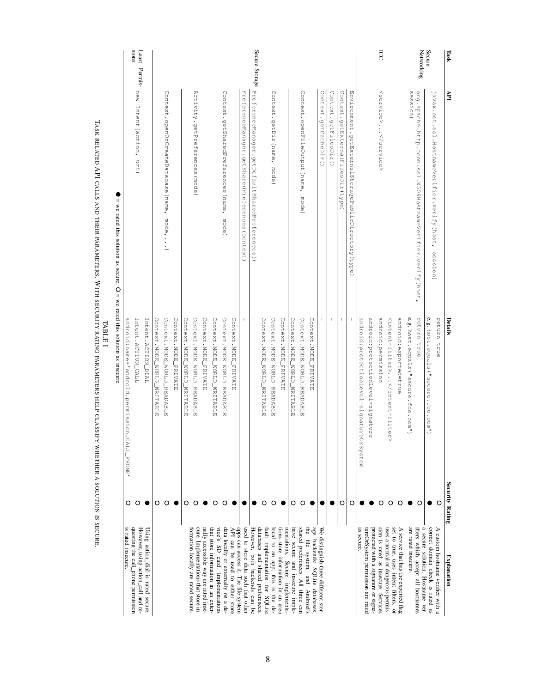|                                                                            |                 |                                                       | $\label{eq:1} \mathsf{II}$<br>we rated this solution as secure, $Q =$ we rated this solution as insecure |                        |
|----------------------------------------------------------------------------|-----------------|-------------------------------------------------------|----------------------------------------------------------------------------------------------------------|------------------------|
| IS rated insecure.                                                         | O               | android:name='android.permission.<br><b>ALL PHONE</b> |                                                                                                          |                        |
| questing the call_phone permission<br>However, using action_call and re-   | O               | Intent.ACTION_CALL                                    | new Intent (action, uri)                                                                                 | sions<br>Least Permis- |
| Using action_dial is rated secure.                                         |                 | Intent.ACTION_DIAL                                    |                                                                                                          |                        |
|                                                                            | O               | Context.MODE_WORLD_WRITABLE                           |                                                                                                          |                        |
|                                                                            | O               | CONTEXT.MODE_WORLD_READABLE                           | Context.openOrCreateDatabase(name, mode,)                                                                |                        |
|                                                                            |                 | Context.MODE<br>PRIVATE                               |                                                                                                          |                        |
|                                                                            | O               | CONTEXT . MODE_WORLINE                                |                                                                                                          |                        |
| cure. Implementations that store in-<br>formation locally are rated secure | O               | CONLEXT.MODE_NORL_READABLE                            | Activity, getPreferences (mode)                                                                          |                        |
| nally accessible way are rated inse-                                       |                 | Context.MODE_PRIVATE                                  |                                                                                                          |                        |
| that store information in an exter-<br>vice's SD card. Implementations     | O               | Context.MODE_WORLMONTRELE                             |                                                                                                          |                        |
| data locally or externally on a de-                                        | O               | CONTEXT.MODE_NORLD_READABLE                           | Context .getSharedPreferences (name, mode)                                                               |                        |
| API can be used to either store                                            |                 | Context.MODE_PRIVATE                                  |                                                                                                          |                        |
| apps can access it. The file-system<br>used to store data such that other  |                 |                                                       | PreferenceManager.getSharedPreferences (context)                                                         |                        |
| However, both backends can be                                              |                 |                                                       | PreferenceManager.getDefaultSharedPreferences()                                                          | Secure Storage         |
| databases and shared preferences.<br>fault implementation for SQLite       | O               | Context.MODE_WDE_WRITABLE                             |                                                                                                          |                        |
| local<br>to an app; this is the de-                                        | O               | Context.MODE_WORLD_READABLE                           | Context.getDir(name, mode)                                                                               |                        |
| tions store information in an area<br>mentations.<br>Secure implementa-    |                 | Context.MODE_PRIVATE                                  |                                                                                                          |                        |
| have secure and insecure imple-                                            | O               | Context.MODE_WORLD_WRITABLE                           |                                                                                                          |                        |
| shared preferences. All three can                                          | O               | Context.MODE_NORLPRADABLE                             | Context.openFileOutput (name, mode)                                                                      |                        |
| age backends: SQLite databases,<br>the file system,<br>and Android's       |                 | Context.MODE_PRIVATE                                  |                                                                                                          |                        |
| We distinguish three different stor-                                       |                 |                                                       | Context.getCacheDir ()                                                                                   |                        |
|                                                                            |                 | J.                                                    | Context.getFilesDir()                                                                                    |                        |
|                                                                            | O               |                                                       | Context.getExternalFilesDir(type)                                                                        |                        |
|                                                                            | O               |                                                       | Environment.getExternalStoragePublicDirectory(type)                                                      |                        |
| as secure.                                                                 |                 | android:protectionLevel=signatureC<br>rsystem         |                                                                                                          |                        |
| tureOrSystem permission are rated<br>protected with a signature or signa-  |                 | android:protectionLevel=signature                     |                                                                                                          |                        |
| sion is rated as insecure. Services                                        | O               | android:permission                                    | <service><!--</td--><td>ā</td></service>                                                                 | ā                      |
| set to true, uses intent filters, or<br>uses a normal or dangerous permis- | O               | <intent-filter></intent-filter>                       |                                                                                                          |                        |
| A service that has the exported flag                                       | O               | android:exported=true                                 |                                                                                                          |                        |
| are rated insecure.                                                        |                 | e.g. host.equals ("secure.foo.com")                   | session)                                                                                                 |                        |
| a secure solution. Hostname ver-<br>ifiers which accept all hostnames      | O               | return<br>Frue                                        | org.apache.http.conn.ssl.X509HostnameVerifier.verify(host,                                               | Networking             |
| correct domain check is rated as                                           |                 | e.g. host.equals ("secure.foo.com")                   | javax.net.ssl.HostnameVerifier.verify(host,<br>session)                                                  | Secure                 |
| A custom hostname verifier with a                                          | O               | return<br>true                                        |                                                                                                          |                        |
| Explanation                                                                | Security Rating | Details                                               | ИPI                                                                                                      | Task                   |

TABLE I TASK RELATED API CALLS AND THEIR PARAMETERS.∵<br>≷ ITH SECURITY RATING PARAMETERS HELP CLASSIFY WHETHER A SOLUTION IS SECURE

<span id="page-7-0"></span>.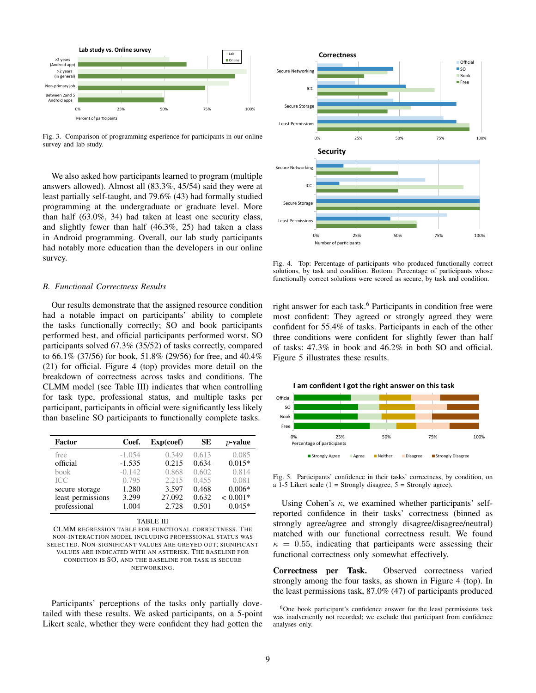

Fig. 3. Comparison of programming experience for participants in our online survey and lab study.

We also asked how participants learned to program (multiple answers allowed). Almost all (83.3%, 45/54) said they were at least partially self-taught, and 79.6% (43) had formally studied programming at the undergraduate or graduate level. More than half (63.0%, 34) had taken at least one security class, and slightly fewer than half (46.3%, 25) had taken a class in Android programming. Overall, our lab study participants had notably more education than the developers in our online survey.

# *B. Functional Correctness Results*

Our results demonstrate that the assigned resource condition had a notable impact on participants' ability to complete the tasks functionally correctly; SO and book participants performed best, and official participants performed worst. SO participants solved 67.3% (35/52) of tasks correctly, compared to 66.1% (37/56) for book, 51.8% (29/56) for free, and 40.4% (21) for official. Figure [4](#page-8-1) (top) provides more detail on the breakdown of correctness across tasks and conditions. The CLMM model (see Table [III\)](#page-8-2) indicates that when controlling for task type, professional status, and multiple tasks per participant, participants in official were significantly less likely than baseline SO participants to functionally complete tasks.

| Factor            | Coef.    | Exp(coef) | SЕ    | $p$ -value |
|-------------------|----------|-----------|-------|------------|
| free              | $-1.054$ | 0.349     | 0.613 | 0.085      |
| official          | $-1.535$ | 0.215     | 0.634 | $0.015*$   |
| book              | $-0.142$ | 0.868     | 0.602 | 0.814      |
| <b>ICC</b>        | 0.795    | 2.215     | 0.455 | 0.081      |
| secure storage    | 1.280    | 3.597     | 0.468 | $0.006*$   |
| least permissions | 3.299    | 27.092    | 0.632 | $< 0.001*$ |
| professional      | 1.004    | 2.728     | 0.501 | $0.045*$   |

TABLE III

<span id="page-8-2"></span>CLMM REGRESSION TABLE FOR FUNCTIONAL CORRECTNESS. THE NON-INTERACTION MODEL INCLUDING PROFESSIONAL STATUS WAS SELECTED. NON-SIGNIFICANT VALUES ARE GREYED OUT; SIGNIFICANT VALUES ARE INDICATED WITH AN ASTERISK. THE BASELINE FOR CONDITION IS SO, AND THE BASELINE FOR TASK IS SECURE NETWORKING.

Participants' perceptions of the tasks only partially dovetailed with these results. We asked participants, on a 5-point Likert scale, whether they were confident they had gotten the

<span id="page-8-0"></span>

<span id="page-8-1"></span>Fig. 4. Top: Percentage of participants who produced functionally correct solutions, by task and condition. Bottom: Percentage of participants whose functionally correct solutions were scored as secure, by task and condition.

right answer for each task.<sup>[6](#page-8-3)</sup> Participants in condition free were most confident: They agreed or strongly agreed they were confident for 55.4% of tasks. Participants in each of the other three conditions were confident for slightly fewer than half of tasks: 47.3% in book and 46.2% in both SO and official. Figure [5](#page-8-4) illustrates these results.



<span id="page-8-4"></span>Fig. 5. Participants' confidence in their tasks' correctness, by condition, on a 1-5 Likert scale  $(1 =$  Strongly disagree,  $5 =$  Strongly agree).

Using Cohen's  $\kappa$ , we examined whether participants' selfreported confidence in their tasks' correctness (binned as strongly agree/agree and strongly disagree/disagree/neutral) matched with our functional correctness result. We found  $\kappa = 0.55$ , indicating that participants were assessing their functional correctness only somewhat effectively.

Correctness per Task. Observed correctness varied strongly among the four tasks, as shown in Figure [4](#page-8-1) (top). In the least permissions task, 87.0% (47) of participants produced

<span id="page-8-3"></span><sup>&</sup>lt;sup>6</sup>One book participant's confidence answer for the least permissions task was inadvertently not recorded; we exclude that participant from confidence analyses only.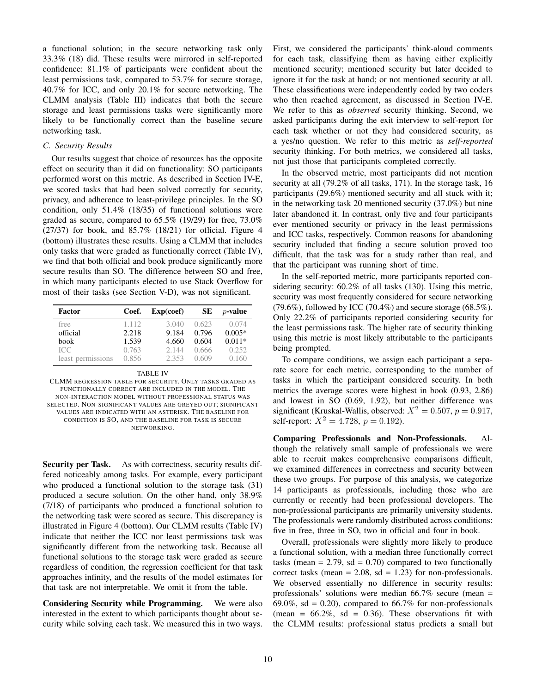a functional solution; in the secure networking task only 33.3% (18) did. These results were mirrored in self-reported confidence: 81.1% of participants were confident about the least permissions task, compared to 53.7% for secure storage, 40.7% for ICC, and only 20.1% for secure networking. The CLMM analysis (Table [III\)](#page-8-2) indicates that both the secure storage and least permissions tasks were significantly more likely to be functionally correct than the baseline secure networking task.

# *C. Security Results*

Our results suggest that choice of resources has the opposite effect on security than it did on functionality: SO participants performed worst on this metric. As described in Section [IV-E,](#page-6-4) we scored tasks that had been solved correctly for security, privacy, and adherence to least-privilege principles. In the SO condition, only 51.4% (18/35) of functional solutions were graded as secure, compared to 65.5% (19/29) for free, 73.0% (27/37) for book, and 85.7% (18/21) for official. Figure [4](#page-8-1) (bottom) illustrates these results. Using a CLMM that includes only tasks that were graded as functionally correct (Table [IV\)](#page-9-0), we find that both official and book produce significantly more secure results than SO. The difference between SO and free, in which many participants elected to use Stack Overflow for most of their tasks (see Section [V-D\)](#page-10-0), was not significant.

| Factor            | Coef. | Exp(coef) | SЕ    | $p$ -value |
|-------------------|-------|-----------|-------|------------|
| free              | 1.112 | 3.040     | 0.623 | 0.074      |
| official          | 2.218 | 9.184     | 0.796 | $0.005*$   |
| book              | 1.539 | 4.660     | 0.604 | $0.011*$   |
| TCC.              | 0.763 | 2.144     | 0.666 | 0.252      |
| least permissions | 0.856 | 2.353     | 0.609 | 0.160      |

TABLE IV

<span id="page-9-0"></span>CLMM REGRESSION TABLE FOR SECURITY. ONLY TASKS GRADED AS FUNCTIONALLY CORRECT ARE INCLUDED IN THE MODEL. THE NON-INTERACTION MODEL WITHOUT PROFESSIONAL STATUS WAS SELECTED. NON-SIGNIFICANT VALUES ARE GREYED OUT; SIGNIFICANT VALUES ARE INDICATED WITH AN ASTERISK. THE BASELINE FOR CONDITION IS SO, AND THE BASELINE FOR TASK IS SECURE NETWORKING.

Security per Task. As with correctness, security results differed noticeably among tasks. For example, every participant who produced a functional solution to the storage task (31) produced a secure solution. On the other hand, only 38.9% (7/18) of participants who produced a functional solution to the networking task were scored as secure. This discrepancy is illustrated in Figure [4](#page-8-1) (bottom). Our CLMM results (Table [IV\)](#page-9-0) indicate that neither the ICC nor least permissions task was significantly different from the networking task. Because all functional solutions to the storage task were graded as secure regardless of condition, the regression coefficient for that task approaches infinity, and the results of the model estimates for that task are not interpretable. We omit it from the table.

Considering Security while Programming. We were also interested in the extent to which participants thought about security while solving each task. We measured this in two ways. First, we considered the participants' think-aloud comments for each task, classifying them as having either explicitly mentioned security; mentioned security but later decided to ignore it for the task at hand; or not mentioned security at all. These classifications were independently coded by two coders who then reached agreement, as discussed in Section [IV-E.](#page-6-4) We refer to this as *observed* security thinking. Second, we asked participants during the exit interview to self-report for each task whether or not they had considered security, as a yes/no question. We refer to this metric as *self-reported* security thinking. For both metrics, we considered all tasks, not just those that participants completed correctly.

In the observed metric, most participants did not mention security at all (79.2% of all tasks, 171). In the storage task, 16 participants (29.6%) mentioned security and all stuck with it; in the networking task 20 mentioned security (37.0%) but nine later abandoned it. In contrast, only five and four participants ever mentioned security or privacy in the least permissions and ICC tasks, respectively. Common reasons for abandoning security included that finding a secure solution proved too difficult, that the task was for a study rather than real, and that the participant was running short of time.

In the self-reported metric, more participants reported considering security: 60.2% of all tasks (130). Using this metric, security was most frequently considered for secure networking  $(79.6\%)$ , followed by ICC  $(70.4\%)$  and secure storage  $(68.5\%)$ . Only 22.2% of participants reported considering security for the least permissions task. The higher rate of security thinking using this metric is most likely attributable to the participants being prompted.

To compare conditions, we assign each participant a separate score for each metric, corresponding to the number of tasks in which the participant considered security. In both metrics the average scores were highest in book (0.93, 2.86) and lowest in SO (0.69, 1.92), but neither difference was significant (Kruskal-Wallis, observed:  $X^2 = 0.507$ ,  $p = 0.917$ , self-report:  $X^2 = 4.728$ ,  $p = 0.192$ ).

Comparing Professionals and Non-Professionals. Although the relatively small sample of professionals we were able to recruit makes comprehensive comparisons difficult, we examined differences in correctness and security between these two groups. For purpose of this analysis, we categorize 14 participants as professionals, including those who are currently or recently had been professional developers. The non-professional participants are primarily university students. The professionals were randomly distributed across conditions: five in free, three in SO, two in official and four in book.

Overall, professionals were slightly more likely to produce a functional solution, with a median three functionally correct tasks (mean =  $2.79$ , sd =  $0.70$ ) compared to two functionally correct tasks (mean  $= 2.08$ , sd  $= 1.23$ ) for non-professionals. We observed essentially no difference in security results: professionals' solutions were median 66.7% secure (mean = 69.0%, sd = 0.20), compared to 66.7% for non-professionals (mean =  $66.2\%$ , sd = 0.36). These observations fit with the CLMM results: professional status predicts a small but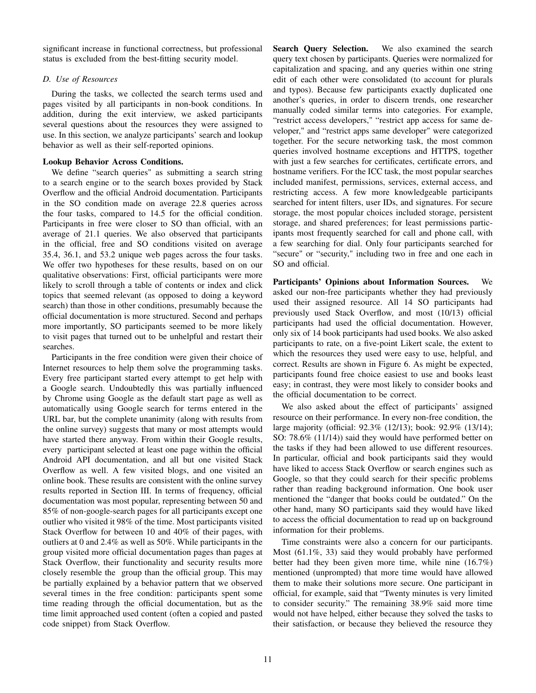significant increase in functional correctness, but professional status is excluded from the best-fitting security model.

# <span id="page-10-0"></span>*D. Use of Resources*

During the tasks, we collected the search terms used and pages visited by all participants in non-book conditions. In addition, during the exit interview, we asked participants several questions about the resources they were assigned to use. In this section, we analyze participants' search and lookup behavior as well as their self-reported opinions.

# Lookup Behavior Across Conditions.

We define "search queries" as submitting a search string to a search engine or to the search boxes provided by Stack Overflow and the official Android documentation. Participants in the SO condition made on average 22.8 queries across the four tasks, compared to 14.5 for the official condition. Participants in free were closer to SO than official, with an average of 21.1 queries. We also observed that participants in the official, free and SO conditions visited on average 35.4, 36.1, and 53.2 unique web pages across the four tasks. We offer two hypotheses for these results, based on on our qualitative observations: First, official participants were more likely to scroll through a table of contents or index and click topics that seemed relevant (as opposed to doing a keyword search) than those in other conditions, presumably because the official documentation is more structured. Second and perhaps more importantly, SO participants seemed to be more likely to visit pages that turned out to be unhelpful and restart their searches.

Participants in the free condition were given their choice of Internet resources to help them solve the programming tasks. Every free participant started every attempt to get help with a Google search. Undoubtedly this was partially influenced by Chrome using Google as the default start page as well as automatically using Google search for terms entered in the URL bar, but the complete unanimity (along with results from the online survey) suggests that many or most attempts would have started there anyway. From within their Google results, every participant selected at least one page within the official Android API documentation, and all but one visited Stack Overflow as well. A few visited blogs, and one visited an online book. These results are consistent with the online survey results reported in Section [III.](#page-2-0) In terms of frequency, official documentation was most popular, representing between 50 and 85% of non-google-search pages for all participants except one outlier who visited it 98% of the time. Most participants visited Stack Overflow for between 10 and 40% of their pages, with outliers at 0 and 2.4% as well as 50%. While participants in the group visited more official documentation pages than pages at Stack Overflow, their functionality and security results more closely resemble the group than the official group. This may be partially explained by a behavior pattern that we observed several times in the free condition: participants spent some time reading through the official documentation, but as the time limit approached used content (often a copied and pasted code snippet) from Stack Overflow.

Search Query Selection. We also examined the search query text chosen by participants. Queries were normalized for capitalization and spacing, and any queries within one string edit of each other were consolidated (to account for plurals and typos). Because few participants exactly duplicated one another's queries, in order to discern trends, one researcher manually coded similar terms into categories. For example, "restrict access developers," "restrict app access for same developer," and "restrict apps same developer" were categorized together. For the secure networking task, the most common queries involved hostname exceptions and HTTPS, together with just a few searches for certificates, certificate errors, and hostname verifiers. For the ICC task, the most popular searches included manifest, permissions, services, external access, and restricting access. A few more knowledgeable participants searched for intent filters, user IDs, and signatures. For secure storage, the most popular choices included storage, persistent storage, and shared preferences; for least permissions participants most frequently searched for call and phone call, with a few searching for dial. Only four participants searched for "secure" or "security," including two in free and one each in SO and official.

Participants' Opinions about Information Sources. We asked our non-free participants whether they had previously used their assigned resource. All 14 SO participants had previously used Stack Overflow, and most (10/13) official participants had used the official documentation. However, only six of 14 book participants had used books. We also asked participants to rate, on a five-point Likert scale, the extent to which the resources they used were easy to use, helpful, and correct. Results are shown in Figure [6.](#page-11-2) As might be expected, participants found free choice easiest to use and books least easy; in contrast, they were most likely to consider books and the official documentation to be correct.

We also asked about the effect of participants' assigned resource on their performance. In every non-free condition, the large majority (official: 92.3% (12/13); book: 92.9% (13/14); SO: 78.6% (11/14)) said they would have performed better on the tasks if they had been allowed to use different resources. In particular, official and book participants said they would have liked to access Stack Overflow or search engines such as Google, so that they could search for their specific problems rather than reading background information. One book user mentioned the "danger that books could be outdated." On the other hand, many SO participants said they would have liked to access the official documentation to read up on background information for their problems.

Time constraints were also a concern for our participants. Most (61.1%, 33) said they would probably have performed better had they been given more time, while nine (16.7%) mentioned (unprompted) that more time would have allowed them to make their solutions more secure. One participant in official, for example, said that "Twenty minutes is very limited to consider security." The remaining 38.9% said more time would not have helped, either because they solved the tasks to their satisfaction, or because they believed the resource they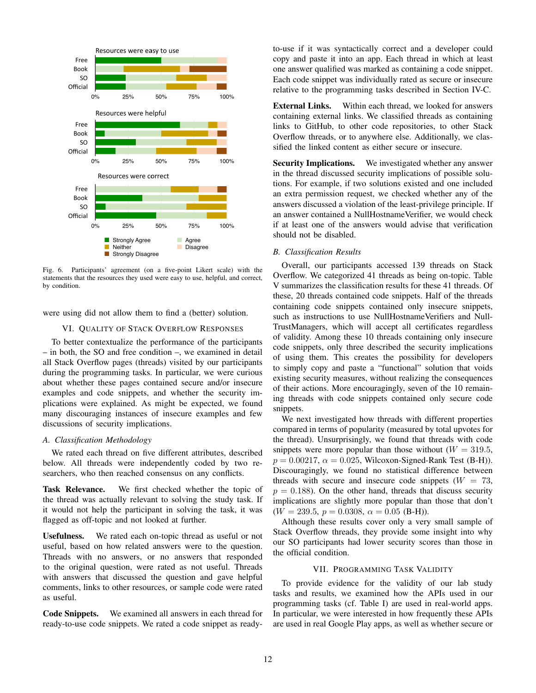

Fig. 6. Participants' agreement (on a five-point Likert scale) with the statements that the resources they used were easy to use, helpful, and correct, by condition.

<span id="page-11-0"></span>were using did not allow them to find a (better) solution.

## VI. QUALITY OF STACK OVERFLOW RESPONSES

To better contextualize the performance of the participants – in both, the SO and free condition –, we examined in detail all Stack Overflow pages (threads) visited by our participants during the programming tasks. In particular, we were curious about whether these pages contained secure and/or insecure examples and code snippets, and whether the security implications were explained. As might be expected, we found many discouraging instances of insecure examples and few discussions of security implications.

### *A. Classification Methodology*

We rated each thread on five different attributes, described below. All threads were independently coded by two researchers, who then reached consensus on any conflicts.

Task Relevance. We first checked whether the topic of the thread was actually relevant to solving the study task. If it would not help the participant in solving the task, it was flagged as off-topic and not looked at further.

Usefulness. We rated each on-topic thread as useful or not useful, based on how related answers were to the question. Threads with no answers, or no answers that responded to the original question, were rated as not useful. Threads with answers that discussed the question and gave helpful comments, links to other resources, or sample code were rated as useful.

Code Snippets. We examined all answers in each thread for ready-to-use code snippets. We rated a code snippet as readyto-use if it was syntactically correct and a developer could copy and paste it into an app. Each thread in which at least one answer qualified was marked as containing a code snippet. Each code snippet was individually rated as secure or insecure relative to the programming tasks described in Section [IV-C.](#page-5-1)

External Links. Within each thread, we looked for answers containing external links. We classified threads as containing links to GitHub, to other code repositories, to other Stack Overflow threads, or to anywhere else. Additionally, we classified the linked content as either secure or insecure.

Security Implications. We investigated whether any answer in the thread discussed security implications of possible solutions. For example, if two solutions existed and one included an extra permission request, we checked whether any of the answers discussed a violation of the least-privilege principle. If an answer contained a NullHostnameVerifier, we would check if at least one of the answers would advise that verification should not be disabled.

# <span id="page-11-2"></span>*B. Classification Results*

Overall, our participants accessed 139 threads on Stack Overflow. We categorized 41 threads as being on-topic. Table [V](#page-12-0) summarizes the classification results for these 41 threads. Of these, 20 threads contained code snippets. Half of the threads containing code snippets contained only insecure snippets, such as instructions to use NullHostnameVerifiers and Null-TrustManagers, which will accept all certificates regardless of validity. Among these 10 threads containing only insecure code snippets, only three described the security implications of using them. This creates the possibility for developers to simply copy and paste a "functional" solution that voids existing security measures, without realizing the consequences of their actions. More encouragingly, seven of the 10 remaining threads with code snippets contained only secure code snippets.

We next investigated how threads with different properties compared in terms of popularity (measured by total upvotes for the thread). Unsurprisingly, we found that threads with code snippets were more popular than those without  $(W = 319.5,$  $p = 0.00217$ ,  $\alpha = 0.025$ , Wilcoxon-Signed-Rank Test (B-H)). Discouragingly, we found no statistical difference between threads with secure and insecure code snippets  $(W = 73,$  $p = 0.188$ . On the other hand, threads that discuss security implications are slightly more popular than those that don't  $(W = 239.5, p = 0.0308, \alpha = 0.05$  (B-H)).

Although these results cover only a very small sample of Stack Overflow threads, they provide some insight into why our SO participants had lower security scores than those in the official condition.

# VII. PROGRAMMING TASK VALIDITY

<span id="page-11-1"></span>To provide evidence for the validity of our lab study tasks and results, we examined how the APIs used in our programming tasks (cf. Table [I\)](#page-7-0) are used in real-world apps. In particular, we were interested in how frequently these APIs are used in real Google Play apps, as well as whether secure or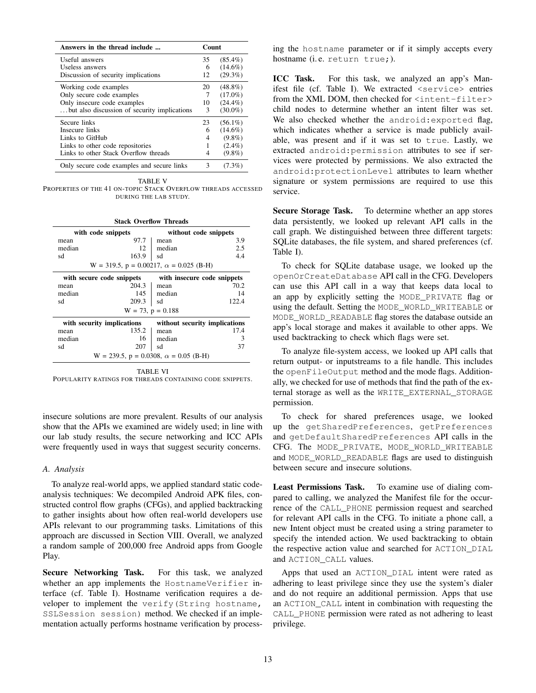| Answers in the thread include                 |    | Count      |  |
|-----------------------------------------------|----|------------|--|
| Useful answers                                | 35 | $(85.4\%)$ |  |
| Useless answers                               | 6  | $(14.6\%)$ |  |
| Discussion of security implications           | 12 | $(29.3\%)$ |  |
| Working code examples                         | 20 | $(48.8\%)$ |  |
| Only secure code examples                     | 7  | $(17.0\%)$ |  |
| Only insecure code examples                   | 10 | $(24.4\%)$ |  |
| but also discussion of security implications. | 3  | $(30.0\%)$ |  |
| Secure links                                  | 23 | $(56.1\%)$ |  |
| Insecure links                                | 6  | $(14.6\%)$ |  |
| Links to GitHub                               | 4  | $(9.8\%)$  |  |
| Links to other code repositories              |    | $(2.4\%)$  |  |
| Links to other Stack Overflow threads         | 4  | $(9.8\%)$  |  |
| Only secure code examples and secure links    | 3  | $(7.3\%)$  |  |

TABLE V PROPERTIES OF THE 41 ON-TOPIC STACK OVERFLOW THREADS ACCESSED DURING THE LAB STUDY.

| <b>Stack Overflow Threads</b>                               |                 |        |       |  |
|-------------------------------------------------------------|-----------------|--------|-------|--|
| with code snippets<br>without code snippets                 |                 |        |       |  |
| mean                                                        | 97.7            | mean   | 3.9   |  |
| median                                                      | 12 <sub>1</sub> | median | 2.5   |  |
| sd                                                          | 163.9           | ∣ sd   | 4.4   |  |
| $W = 319.5$ , $p = 0.00217$ , $\alpha = 0.025$ (B-H)        |                 |        |       |  |
| with secure code snippets<br>with insecure code snippets    |                 |        |       |  |
| mean                                                        | 204.3           | mean   | 70.2  |  |
| median                                                      | 145             | median | 14    |  |
| sd                                                          | 209.3           | sd     | 122.4 |  |
| $W = 73$ , $p = 0.188$                                      |                 |        |       |  |
| with security implications<br>without security implications |                 |        |       |  |
| mean                                                        | 135.2           | mean   | 17.4  |  |
| median                                                      | 16              | median | 3     |  |
| sd                                                          | 207             | sd     | 37    |  |
| $W = 239.5$ , $p = 0.0308$ , $\alpha = 0.05$ (B-H)          |                 |        |       |  |

TABLE VI

POPULARITY RATINGS FOR THREADS CONTAINING CODE SNIPPETS.

insecure solutions are more prevalent. Results of our analysis show that the APIs we examined are widely used; in line with our lab study results, the secure networking and ICC APIs were frequently used in ways that suggest security concerns.

#### *A. Analysis*

To analyze real-world apps, we applied standard static codeanalysis techniques: We decompiled Android APK files, constructed control flow graphs (CFGs), and applied backtracking to gather insights about how often real-world developers use APIs relevant to our programming tasks. Limitations of this approach are discussed in Section [VIII.](#page-13-0) Overall, we analyzed a random sample of 200,000 free Android apps from Google Play.

Secure Networking Task. For this task, we analyzed whether an app implements the HostnameVerifier interface (cf. Table [I\)](#page-7-0). Hostname verification requires a developer to implement the verify (String hostname, SSLSession session) method. We checked if an implementation actually performs hostname verification by process-

ing the hostname parameter or if it simply accepts every hostname (i.e. return true;).

<span id="page-12-0"></span>ICC Task. For this task, we analyzed an app's Manifest file (cf. Table [I\)](#page-7-0). We extracted <service> entries from the XML DOM, then checked for  $\langle$  intent-filter> child nodes to determine whether an intent filter was set. We also checked whether the android: exported flag, which indicates whether a service is made publicly available, was present and if it was set to true. Lastly, we extracted android:permission attributes to see if services were protected by permissions. We also extracted the android:protectionLevel attributes to learn whether signature or system permissions are required to use this service.

Secure Storage Task. To determine whether an app stores data persistently, we looked up relevant API calls in the call graph. We distinguished between three different targets: SQLite databases, the file system, and shared preferences (cf. Table [I\)](#page-7-0).

To check for SQLite database usage, we looked up the openOrCreateDatabase API call in the CFG. Developers can use this API call in a way that keeps data local to an app by explicitly setting the MODE\_PRIVATE flag or using the default. Setting the MODE\_WORLD\_WRITEABLE or MODE\_WORLD\_READABLE flag stores the database outside an app's local storage and makes it available to other apps. We used backtracking to check which flags were set.

To analyze file-system access, we looked up API calls that return output- or inputstreams to a file handle. This includes the openFileOutput method and the mode flags. Additionally, we checked for use of methods that find the path of the external storage as well as the WRITE\_EXTERNAL\_STORAGE permission.

To check for shared preferences usage, we looked up the getSharedPreferences, getPreferences and getDefaultSharedPreferences API calls in the CFG. The MODE\_PRIVATE, MODE\_WORLD\_WRITEABLE and MODE\_WORLD\_READABLE flags are used to distinguish between secure and insecure solutions.

Least Permissions Task. To examine use of dialing compared to calling, we analyzed the Manifest file for the occurrence of the CALL\_PHONE permission request and searched for relevant API calls in the CFG. To initiate a phone call, a new Intent object must be created using a string parameter to specify the intended action. We used backtracking to obtain the respective action value and searched for ACTION\_DIAL and ACTION CALL values.

Apps that used an ACTION\_DIAL intent were rated as adhering to least privilege since they use the system's dialer and do not require an additional permission. Apps that use an ACTION\_CALL intent in combination with requesting the CALL\_PHONE permission were rated as not adhering to least privilege.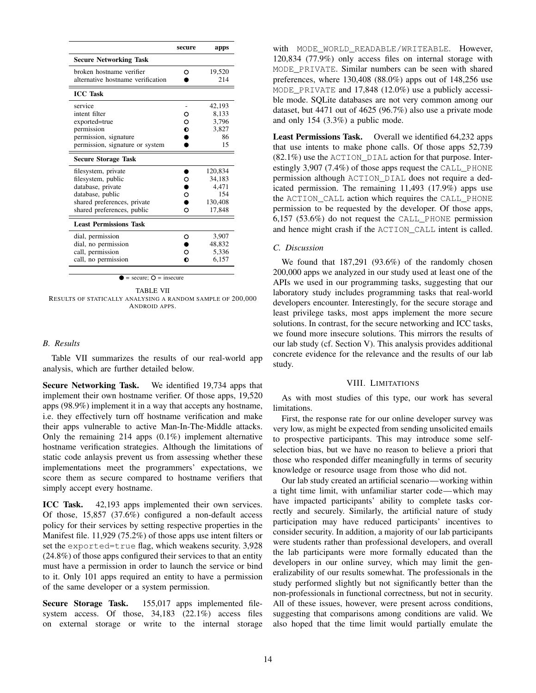| <b>Secure Networking Task</b><br>broken hostname verifier |   |         |
|-----------------------------------------------------------|---|---------|
|                                                           |   |         |
|                                                           | O | 19,520  |
| alternative hostname verification                         |   | 214     |
| <b>ICC Task</b>                                           |   |         |
| service                                                   |   | 42,193  |
| intent filter                                             | O | 8.133   |
| exported=true                                             | O | 3,796   |
| permission                                                |   | 3,827   |
| permission, signature                                     |   | 86      |
| permission, signature or system                           |   | 15      |
| <b>Secure Storage Task</b>                                |   |         |
| filesystem, private                                       |   | 120,834 |
| filesystem, public                                        |   | 34,183  |
| database, private                                         |   | 4,471   |
| database, public                                          | O | 154     |
| shared preferences, private                               |   | 130,408 |
| shared preferences, public                                | റ | 17,848  |
| <b>Least Permissions Task</b>                             |   |         |
| dial, permission                                          | O | 3,907   |
| dial, no permission                                       |   | 48,832  |
| call, permission                                          |   | 5,336   |
| call, no permission                                       |   | 6,157   |

TABLE VII RESULTS OF STATICALLY ANALYSING A RANDOM SAMPLE OF 200,000 ANDROID APPS.

# *B. Results*

Table [VII](#page-13-1) summarizes the results of our real-world app analysis, which are further detailed below.

Secure Networking Task. We identified 19,734 apps that implement their own hostname verifier. Of those apps, 19,520 apps (98.9%) implement it in a way that accepts any hostname, i.e. they effectively turn off hostname verification and make their apps vulnerable to active Man-In-The-Middle attacks. Only the remaining 214 apps (0.1%) implement alternative hostname verification strategies. Although the limitations of static code anlaysis prevent us from assessing whether these implementations meet the programmers' expectations, we score them as secure compared to hostname verifiers that simply accept every hostname.

ICC Task. 42,193 apps implemented their own services. Of those, 15,857 (37.6%) configured a non-default access policy for their services by setting respective properties in the Manifest file. 11,929 (75.2%) of those apps use intent filters or set the exported=true flag, which weakens security. 3,928 (24.8%) of those apps configured their services to that an entity must have a permission in order to launch the service or bind to it. Only 101 apps required an entity to have a permission of the same developer or a system permission.

Secure Storage Task. 155,017 apps implemented filesystem access. Of those, 34,183 (22.1%) access files on external storage or write to the internal storage

with MODE\_WORLD\_READABLE/WRITEABLE. However, 120,834 (77.9%) only access files on internal storage with MODE PRIVATE. Similar numbers can be seen with shared preferences, where 130,408 (88.0%) apps out of 148,256 use MODE PRIVATE and 17,848 (12.0%) use a publicly accessible mode. SQLite databases are not very common among our dataset, but 4471 out of 4625 (96.7%) also use a private mode and only 154 (3.3%) a public mode.

<span id="page-13-1"></span>Least Permissions Task. Overall we identified 64,232 apps that use intents to make phone calls. Of those apps 52,739 (82.1%) use the ACTION\_DIAL action for that purpose. Interestingly 3,907 (7.4%) of those apps request the CALL\_PHONE permission although ACTION\_DIAL does not require a dedicated permission. The remaining 11,493 (17.9%) apps use the ACTION\_CALL action which requires the CALL\_PHONE permission to be requested by the developer. Of those apps,  $6,157$  (53.6%) do not request the CALL PHONE permission and hence might crash if the ACTION\_CALL intent is called.

# *C. Discussion*

We found that 187,291 (93.6%) of the randomly chosen 200,000 apps we analyzed in our study used at least one of the APIs we used in our programming tasks, suggesting that our laboratory study includes programming tasks that real-world developers encounter. Interestingly, for the secure storage and least privilege tasks, most apps implement the more secure solutions. In contrast, for the secure networking and ICC tasks, we found more insecure solutions. This mirrors the results of our lab study (cf. Section [V\)](#page-6-0). This analysis provides additional concrete evidence for the relevance and the results of our lab study.

#### VIII. LIMITATIONS

<span id="page-13-0"></span>As with most studies of this type, our work has several limitations.

First, the response rate for our online developer survey was very low, as might be expected from sending unsolicited emails to prospective participants. This may introduce some selfselection bias, but we have no reason to believe a priori that those who responded differ meaningfully in terms of security knowledge or resource usage from those who did not.

Our lab study created an artificial scenario—working within a tight time limit, with unfamiliar starter code—which may have impacted participants' ability to complete tasks correctly and securely. Similarly, the artificial nature of study participation may have reduced participants' incentives to consider security. In addition, a majority of our lab participants were students rather than professional developers, and overall the lab participants were more formally educated than the developers in our online survey, which may limit the generalizability of our results somewhat. The professionals in the study performed slightly but not significantly better than the non-professionals in functional correctness, but not in security. All of these issues, however, were present across conditions, suggesting that comparisons among conditions are valid. We also hoped that the time limit would partially emulate the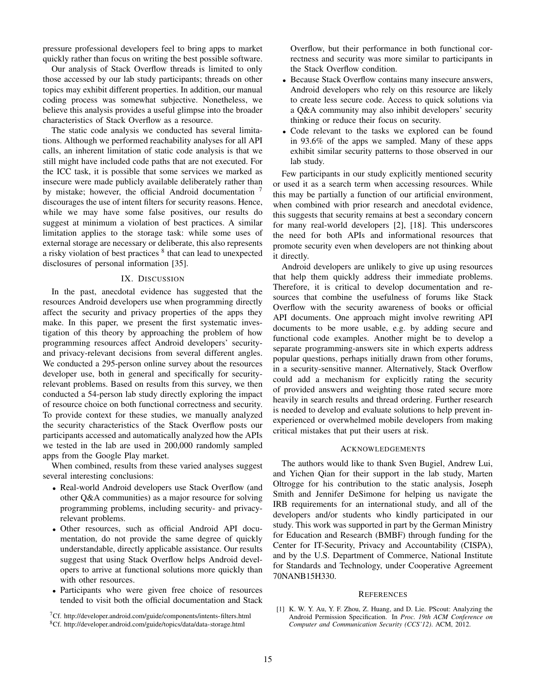pressure professional developers feel to bring apps to market quickly rather than focus on writing the best possible software.

Our analysis of Stack Overflow threads is limited to only those accessed by our lab study participants; threads on other topics may exhibit different properties. In addition, our manual coding process was somewhat subjective. Nonetheless, we believe this analysis provides a useful glimpse into the broader characteristics of Stack Overflow as a resource.

The static code analysis we conducted has several limitations. Although we performed reachability analyses for all API calls, an inherent limitation of static code analysis is that we still might have included code paths that are not executed. For the ICC task, it is possible that some services we marked as insecure were made publicly available deliberately rather than by mistake; however, the official Android documentation [7](#page-14-2) discourages the use of intent filters for security reasons. Hence, while we may have some false positives, our results do suggest at minimum a violation of best practices. A similar limitation applies to the storage task: while some uses of external storage are necessary or deliberate, this also represents a risky violation of best practices  $8$  that can lead to unexpected disclosures of personal information [\[35\]](#page-15-40).

## IX. DISCUSSION

<span id="page-14-1"></span>In the past, anecdotal evidence has suggested that the resources Android developers use when programming directly affect the security and privacy properties of the apps they make. In this paper, we present the first systematic investigation of this theory by approaching the problem of how programming resources affect Android developers' securityand privacy-relevant decisions from several different angles. We conducted a 295-person online survey about the resources developer use, both in general and specifically for securityrelevant problems. Based on results from this survey, we then conducted a 54-person lab study directly exploring the impact of resource choice on both functional correctness and security. To provide context for these studies, we manually analyzed the security characteristics of the Stack Overflow posts our participants accessed and automatically analyzed how the APIs we tested in the lab are used in 200,000 randomly sampled apps from the Google Play market.

When combined, results from these varied analyses suggest several interesting conclusions:

- Real-world Android developers use Stack Overflow (and other Q&A communities) as a major resource for solving programming problems, including security- and privacyrelevant problems.
- Other resources, such as official Android API documentation, do not provide the same degree of quickly understandable, directly applicable assistance. Our results suggest that using Stack Overflow helps Android developers to arrive at functional solutions more quickly than with other resources.
- Participants who were given free choice of resources tended to visit both the official documentation and Stack

<span id="page-14-3"></span><span id="page-14-2"></span><sup>7</sup>Cf. <http://developer.android.com/guide/components/intents-filters.html> <sup>8</sup>Cf. <http://developer.android.com/guide/topics/data/data-storage.html>

Overflow, but their performance in both functional correctness and security was more similar to participants in the Stack Overflow condition.

- Because Stack Overflow contains many insecure answers, Android developers who rely on this resource are likely to create less secure code. Access to quick solutions via a Q&A community may also inhibit developers' security thinking or reduce their focus on security.
- Code relevant to the tasks we explored can be found in 93.6% of the apps we sampled. Many of these apps exhibit similar security patterns to those observed in our lab study.

Few participants in our study explicitly mentioned security or used it as a search term when accessing resources. While this may be partially a function of our artificial environment, when combined with prior research and anecdotal evidence, this suggests that security remains at best a secondary concern for many real-world developers [\[2\]](#page-15-20), [\[18\]](#page-15-5). This underscores the need for both APIs and informational resources that promote security even when developers are not thinking about it directly.

Android developers are unlikely to give up using resources that help them quickly address their immediate problems. Therefore, it is critical to develop documentation and resources that combine the usefulness of forums like Stack Overflow with the security awareness of books or official API documents. One approach might involve rewriting API documents to be more usable, e.g. by adding secure and functional code examples. Another might be to develop a separate programming-answers site in which experts address popular questions, perhaps initially drawn from other forums, in a security-sensitive manner. Alternatively, Stack Overflow could add a mechanism for explicitly rating the security of provided answers and weighting those rated secure more heavily in search results and thread ordering. Further research is needed to develop and evaluate solutions to help prevent inexperienced or overwhelmed mobile developers from making critical mistakes that put their users at risk.

#### ACKNOWLEDGEMENTS

The authors would like to thank Sven Bugiel, Andrew Lui, and Yichen Qian for their support in the lab study, Marten Oltrogge for his contribution to the static analysis, Joseph Smith and Jennifer DeSimone for helping us navigate the IRB requirements for an international study, and all of the developers and/or students who kindly participated in our study. This work was supported in part by the German Ministry for Education and Research (BMBF) through funding for the Center for IT-Security, Privacy and Accountability (CISPA), and by the U.S. Department of Commerce, National Institute for Standards and Technology, under Cooperative Agreement 70NANB15H330.

#### **REFERENCES**

<span id="page-14-0"></span>[1] K. W. Y. Au, Y. F. Zhou, Z. Huang, and D. Lie. PScout: Analyzing the Android Permission Specification. In *Proc. 19th ACM Conference on Computer and Communication Security (CCS'12)*. ACM, 2012.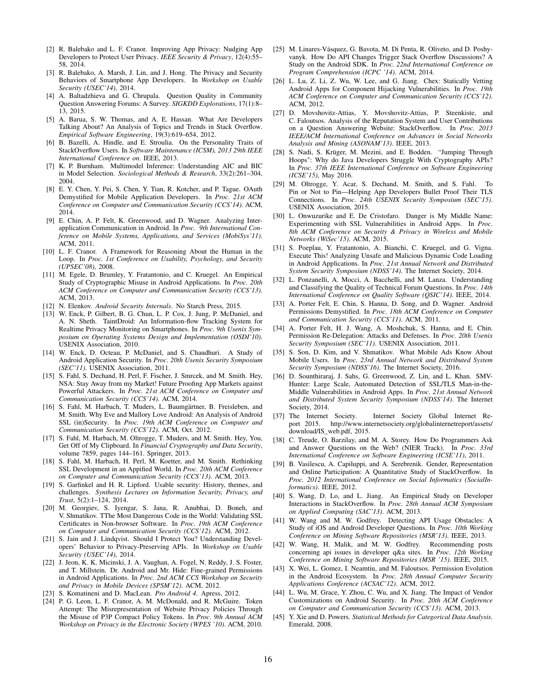- <span id="page-15-20"></span>[2] R. Balebako and L. F. Cranor. Improving App Privacy: Nudging App Developers to Protect User Privacy. *IEEE Security & Privacy*, 12(4):55– 58, 2014.
- <span id="page-15-18"></span>[3] R. Balebako, A. Marsh, J. Lin, and J. Hong. The Privacy and Security Behaviors of Smartphone App Developers. In *Workshop on Usable Security (USEC'14)*, 2014.
- <span id="page-15-27"></span>[4] A. Baltadzhieva and G. Chrupala. Question Quality in Community Question Answering Forums: A Survey. *SIGKDD Explorations*, 17(1):8– 13, 2015.
- <span id="page-15-22"></span>[5] A. Barua, S. W. Thomas, and A. E. Hassan. What Are Developers Talking About? An Analysis of Topics and Trends in Stack Overflow. *Empirical Software Engineering*, 19(3):619–654, 2012.
- <span id="page-15-23"></span>[6] B. Bazelli, A. Hindle, and E. Stroulia. On the Personality Traits of StackOverflow Users. In *Software Maintenance (ICSM), 2013 29th IEEE International Conference on*. IEEE, 2013.
- <span id="page-15-39"></span>[7] K. P. Burnham. Multimodel Inference: Understanding AIC and BIC in Model Selection. *Sociological Methods & Research*, 33(2):261–304, 2004.
- <span id="page-15-1"></span>[8] E. Y. Chen, Y. Pei, S. Chen, Y. Tian, R. Kotcher, and P. Tague. OAuth Demystified for Mobile Application Developers. In *Proc. 21st ACM Conference on Computer and Communication Security (CCS'14)*. ACM, 2014.
- <span id="page-15-2"></span>[9] E. Chin, A. P. Felt, K. Greenwood, and D. Wagner. Analyzing Interapplication Communication in Android. In *Proc. 9th International Conference on Mobile Systems, Applications, and Services (MobiSys'11)*. ACM, 2011.
- <span id="page-15-36"></span>[10] L. F. Cranor. A Framework for Reasoning About the Human in the Loop. In *Proc. 1st Conference on Usability, Psychology, and Security (UPSEC'08)*, 2008.
- <span id="page-15-3"></span>[11] M. Egele, D. Brumley, Y. Fratantonio, and C. Kruegel. An Empirical Study of Cryptographic Misuse in Android Applications. In *Proc. 20th ACM Conference on Computer and Communication Security (CCS'13)*. ACM, 2013.
- <span id="page-15-35"></span>[12] N. Elenkov. *Android Security Internals*. No Starch Press, 2015.
- <span id="page-15-17"></span>[13] W. Enck, P. Gilbert, B. G. Chun, L. P. Cox, J. Jung, P. McDaniel, and A. N. Sheth. TaintDroid: An Information-flow Tracking System for Realtime Privacy Monitoring on Smartphones. In *Proc. 9th Usenix Symposium on Operating Systems Design and Implementation (OSDI'10)*. USENIX Association, 2010.
- <span id="page-15-4"></span>[14] W. Enck, D. Octeau, P. McDaniel, and S. Chaudhuri. A Study of Android Application Security. In *Proc. 20th Usenix Security Symposium (SEC'11)*. USENIX Association, 2011.
- [15] S. Fahl, S. Dechand, H. Perl, F. Fischer, J. Smrcek, and M. Smith. Hey, NSA: Stay Away from my Market! Future Proofing App Markets against Powerful Attackers. In *Proc. 21st ACM Conference on Computer and Communication Security (CCS'14)*. ACM, 2014.
- <span id="page-15-14"></span>[16] S. Fahl, M. Harbach, T. Muders, L. Baumgärtner, B. Freisleben, and M. Smith. Why Eve and Mallory Love Android: An Analysis of Android SSL (in)Security. In *Proc. 19th ACM Conference on Computer and Communication Security (CCS'12)*. ACM, Oct. 2012.
- [17] S. Fahl, M. Harbach, M. Oltrogge, T. Muders, and M. Smith. Hey, You, Get Off of My Clipboard. In *Financial Cryptography and Data Security*, volume 7859, pages 144–161. Springer, 2013.
- <span id="page-15-5"></span>[18] S. Fahl, M. Harbach, H. Perl, M. Koetter, and M. Smith. Rethinking SSL Development in an Appified World. In *Proc. 20th ACM Conference on Computer and Communication Security (CCS'13)*. ACM, 2013.
- <span id="page-15-37"></span>[19] S. Garfinkel and H. R. Lipford. Usable security: History, themes, and challenges. *Synthesis Lectures on Information Security, Privacy, and Trust*, 5(2):1–124, 2014.
- <span id="page-15-15"></span>[20] M. Georgiev, S. Iyengar, S. Jana, R. Anubhai, D. Boneh, and V. Shmatikov. TThe Most Dangerous Code in the World: Validating SSL Certificates in Non-browser Software. In *Proc. 19th ACM Conference on Computer and Communication Security (CCS'12)*. ACM, 2012.
- <span id="page-15-21"></span>[21] S. Jain and J. Lindqvist. Should I Protect You? Understanding Developers' Behavior to Privacy-Preserving APIs. In *Workshop on Usable Security (USEC'14)*, 2014.
- <span id="page-15-28"></span>[22] J. Jeon, K. K. Micinski, J. A. Vaughan, A. Fogel, N. Reddy, J. S. Foster, and T. Millstein. Dr. Android and Mr. Hide: Fine-grained Permissions in Android Applications. In *Proc. 2nd ACM CCS Workshop on Security and Privacy in Mobile Devices (SPSM'12)*. ACM, 2012.
- <span id="page-15-34"></span>[23] S. Komatineni and D. MacLean. *Pro Android 4*. Apress, 2012.
- <span id="page-15-19"></span>[24] P. G. Leon, L. F. Cranor, A. M. McDonald, and R. McGuire. Token Attempt: The Misrepresentation of Website Privacy Policies Through the Misuse of P3P Compact Policy Tokens. In *Proc. 9th Annual ACM Workshop on Privacy in the Electronic Society (WPES '10)*. ACM, 2010.
- <span id="page-15-30"></span>[25] M. Linares-Vásquez, G. Bavota, M. Di Penta, R. Oliveto, and D. Poshyvanyk. How Do API Changes Trigger Stack Overflow Discussions? A Study on the Android SDK. In *Proc. 22nd International Conference on Program Comprehension (ICPC '14)*. ACM, 2014.
- <span id="page-15-6"></span>[26] L. Lu, Z. Li, Z. Wu, W. Lee, and G. Jiang. Chex: Statically Vetting Android Apps for Component Hijacking Vulnerabilities. In *Proc. 19th ACM Conference on Computer and Communication Security (CCS'12)*. ACM, 2012.
- <span id="page-15-24"></span>[27] D. Movshovitz-Attias, Y. Movshovitz-Attias, P. Steenkiste, and C. Faloutsos. Analysis of the Reputation System and User Contributions on a Question Answering Website: StackOverflow. In *Proc. 2013 IEEE/ACM International Conference on Advances in Social Networks Analysis and Mining (ASONAM'13)*. IEEE, 2013.
- <span id="page-15-33"></span>[28] S. Nadi, S. Krüger, M. Mezini, and E. Bodden. "Jumping Through Hoops": Why do Java Developers Struggle With Cryptography APIs? In *Proc. 37th IEEE International Conference on Software Engineering (ICSE'15)*, May 2016.
- <span id="page-15-7"></span>[29] M. Oltrogge, Y. Acar, S. Dechand, M. Smith, and S. Fahl. To Pin or Not to Pin—Helping App Developers Bullet Proof Their TLS Connections. In *Proc. 24th USENIX Security Symposium (SEC'15)*. USENIX Association, 2015.
- <span id="page-15-16"></span>[30] L. Onwuzurike and E. De Cristofaro. Danger is My Middle Name: Experimenting with SSL Vulnerabilities in Android Apps. In *Proc. 8th ACM Conference on Security & Privacy in Wireless and Mobile Networks (WiSec'15)*. ACM, 2015.
- <span id="page-15-8"></span>[31] S. Poeplau, Y. Fratantonio, A. Bianchi, C. Kruegel, and G. Vigna. Execute This! Analyzing Unsafe and Malicious Dynamic Code Loading in Android Applications. In *Proc. 21st Annual Network and Distributed System Security Symposium (NDSS'14)*. The Internet Society, 2014.
- <span id="page-15-29"></span>[32] L. Ponzanelli, A. Mocci, A. Bacchelli, and M. Lanza. Understanding and Classifying the Quality of Technical Forum Questions. In *Proc. 14th International Conference on Quality Software (QSIC'14)*. IEEE, 2014.
- <span id="page-15-9"></span>[33] A. Porter Felt, E. Chin, S. Hanna, D. Song, and D. Wagner. Android Permissions Demystified. In *Proc. 18th ACM Conference on Computer and Communication Security (CCS'11)*. ACM, 2011.
- <span id="page-15-10"></span>[34] A. Porter Felt, H. J. Wang, A. Moshchuk, S. Hanna, and E. Chin. Permission Re-Delegation: Attacks and Defenses. In *Proc. 20th Usenix Security Symposium (SEC'11)*. USENIX Association, 2011.
- <span id="page-15-40"></span>[35] S. Son, D. Kim, and V. Shmatikov. What Mobile Ads Know About Mobile Users. In *Proc. 23rd Annual Network and Distributed System Security Symposium (NDSS'16)*. The Internet Society, 2016.
- <span id="page-15-11"></span>[36] D. Sounthiraraj, J. Sahs, G. Greenwood, Z. Lin, and L. Khan. SMV-Hunter: Large Scale, Automated Detection of SSL/TLS Man-in-the-Middle Vulnerabilities in Android Apps. In *Proc. 21st Annual Network and Distributed System Security Symposium (NDSS'14)*. The Internet Society, 2014.
- <span id="page-15-0"></span>[37] The Internet Society. Internet Society Global Internet Report 2015. [http://www.internetsociety.org/globalinternetreport/assets/](http://www.internetsociety.org/globalinternetreport/assets/download/IS_web.pdf) [download/IS\\_web.pdf,](http://www.internetsociety.org/globalinternetreport/assets/download/IS_web.pdf) 2015.
- <span id="page-15-25"></span>[38] C. Treude, O. Barzilay, and M. A. Storey. How Do Programmers Ask and Answer Questions on the Web? (NIER Track). In *Proc. 33rd International Conference on Software Engineering (ICSE'11)*, 2011.
- [39] B. Vasilescu, A. Capiluppi, and A. Serebrenik. Gender, Representation and Online Participation: A Quantitative Study of StackOverflow. In *Proc. 2012 International Conference on Social Informatics (SocialInformatics)*. IEEE, 2012.
- <span id="page-15-26"></span>[40] S. Wang, D. Lo, and L. Jiang. An Empirical Study on Developer Interactions in StackOverflow. In *Proc. 28th Annual ACM Symposium on Applied Computing (SAC'13)*. ACM, 2013.
- <span id="page-15-31"></span>[41] W. Wang and M. W. Godfrey. Detecting API Usage Obstacles: A Study of iOS and Android Developer Questions. In *Proc. 10th Working Conference on Mining Software Repositories (MSR'13)*. IEEE, 2013.
- <span id="page-15-32"></span>[42] W. Wang, H. Malik, and M. W. Godfrey. Recommending posts concerning api issues in developer q&a sites. In *Proc. 12th Working Conference on Mining Software Repositories (MSR '15)*. IEEE, 2015.
- <span id="page-15-12"></span>[43] X. Wei, L. Gomez, I. Neamtiu, and M. Faloutsos. Permission Evolution in the Android Ecosystem. In *Proc. 28th Annual Computer Security Applications Conference (ACSAC'12)*. ACM, 2012.
- <span id="page-15-13"></span>[44] L. Wu, M. Grace, Y. Zhou, C. Wu, and X. Jiang. The Impact of Vendor Customizations on Android Security. In *Proc. 20th ACM Conference on Computer and Communication Security (CCS'13)*. ACM, 2013.
- <span id="page-15-38"></span>[45] Y. Xie and D. Powers. *Statistical Methods for Categorical Data Analysis*. Emerald, 2008.